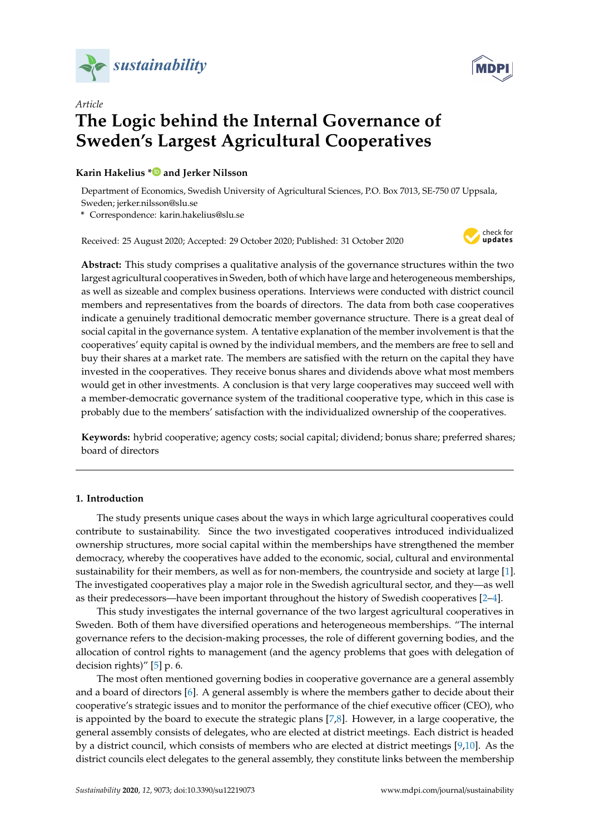



# *Article* **The Logic behind the Internal Governance of Sweden's Largest Agricultural Cooperatives**

# **Karin Hakelius [\\*](https://orcid.org/0000-0002-1738-6267) and Jerker Nilsson**

Department of Economics, Swedish University of Agricultural Sciences, P.O. Box 7013, SE-750 07 Uppsala, Sweden; jerker.nilsson@slu.se

**\*** Correspondence: karin.hakelius@slu.se

Received: 25 August 2020; Accepted: 29 October 2020; Published: 31 October 2020



**Abstract:** This study comprises a qualitative analysis of the governance structures within the two largest agricultural cooperatives in Sweden, both of which have large and heterogeneous memberships, as well as sizeable and complex business operations. Interviews were conducted with district council members and representatives from the boards of directors. The data from both case cooperatives indicate a genuinely traditional democratic member governance structure. There is a great deal of social capital in the governance system. A tentative explanation of the member involvement is that the cooperatives' equity capital is owned by the individual members, and the members are free to sell and buy their shares at a market rate. The members are satisfied with the return on the capital they have invested in the cooperatives. They receive bonus shares and dividends above what most members would get in other investments. A conclusion is that very large cooperatives may succeed well with a member-democratic governance system of the traditional cooperative type, which in this case is probably due to the members' satisfaction with the individualized ownership of the cooperatives.

**Keywords:** hybrid cooperative; agency costs; social capital; dividend; bonus share; preferred shares; board of directors

# **1. Introduction**

The study presents unique cases about the ways in which large agricultural cooperatives could contribute to sustainability. Since the two investigated cooperatives introduced individualized ownership structures, more social capital within the memberships have strengthened the member democracy, whereby the cooperatives have added to the economic, social, cultural and environmental sustainability for their members, as well as for non-members, the countryside and society at large [\[1\]](#page-16-0). The investigated cooperatives play a major role in the Swedish agricultural sector, and they—as well as their predecessors—have been important throughout the history of Swedish cooperatives [\[2](#page-16-1)[–4\]](#page-16-2).

This study investigates the internal governance of the two largest agricultural cooperatives in Sweden. Both of them have diversified operations and heterogeneous memberships. "The internal governance refers to the decision-making processes, the role of different governing bodies, and the allocation of control rights to management (and the agency problems that goes with delegation of decision rights)" [\[5\]](#page-16-3) p. 6.

The most often mentioned governing bodies in cooperative governance are a general assembly and a board of directors [\[6\]](#page-16-4). A general assembly is where the members gather to decide about their cooperative's strategic issues and to monitor the performance of the chief executive officer (CEO), who is appointed by the board to execute the strategic plans [\[7](#page-16-5)[,8\]](#page-16-6). However, in a large cooperative, the general assembly consists of delegates, who are elected at district meetings. Each district is headed by a district council, which consists of members who are elected at district meetings [\[9](#page-16-7)[,10\]](#page-16-8). As the district councils elect delegates to the general assembly, they constitute links between the membership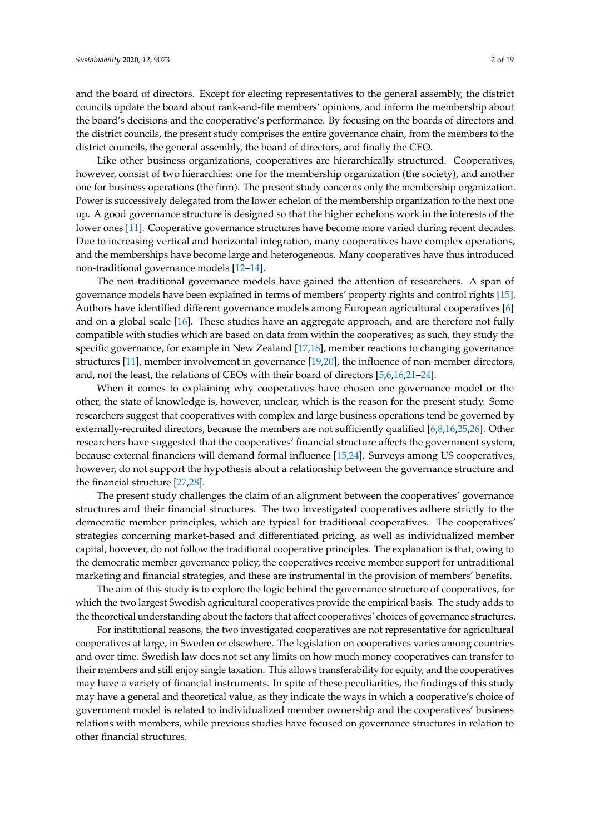and the board of directors. Except for electing representatives to the general assembly, the district councils update the board about rank-and-file members' opinions, and inform the membership about the board's decisions and the cooperative's performance. By focusing on the boards of directors and the district councils, the present study comprises the entire governance chain, from the members to the district councils, the general assembly, the board of directors, and finally the CEO.

Like other business organizations, cooperatives are hierarchically structured. Cooperatives, however, consist of two hierarchies: one for the membership organization (the society), and another one for business operations (the firm). The present study concerns only the membership organization. Power is successively delegated from the lower echelon of the membership organization to the next one up. A good governance structure is designed so that the higher echelons work in the interests of the lower ones [\[11\]](#page-16-9). Cooperative governance structures have become more varied during recent decades. Due to increasing vertical and horizontal integration, many cooperatives have complex operations, and the memberships have become large and heterogeneous. Many cooperatives have thus introduced non-traditional governance models [\[12](#page-16-10)[–14\]](#page-16-11).

The non-traditional governance models have gained the attention of researchers. A span of governance models have been explained in terms of members' property rights and control rights [\[15\]](#page-16-12). Authors have identified different governance models among European agricultural cooperatives [\[6\]](#page-16-4) and on a global scale [\[16\]](#page-16-13). These studies have an aggregate approach, and are therefore not fully compatible with studies which are based on data from within the cooperatives; as such, they study the specific governance, for example in New Zealand [\[17,](#page-16-14)[18\]](#page-17-0), member reactions to changing governance structures [\[11\]](#page-16-9), member involvement in governance [\[19,](#page-17-1)[20\]](#page-17-2), the influence of non-member directors, and, not the least, the relations of CEOs with their board of directors [\[5,](#page-16-3)[6](#page-16-4)[,16](#page-16-13)[,21–](#page-17-3)[24\]](#page-17-4).

When it comes to explaining why cooperatives have chosen one governance model or the other, the state of knowledge is, however, unclear, which is the reason for the present study. Some researchers suggest that cooperatives with complex and large business operations tend be governed by externally-recruited directors, because the members are not sufficiently qualified [\[6](#page-16-4)[,8](#page-16-6)[,16](#page-16-13)[,25](#page-17-5)[,26\]](#page-17-6). Other researchers have suggested that the cooperatives' financial structure affects the government system, because external financiers will demand formal influence [\[15](#page-16-12)[,24\]](#page-17-4). Surveys among US cooperatives, however, do not support the hypothesis about a relationship between the governance structure and the financial structure [\[27](#page-17-7)[,28\]](#page-17-8).

The present study challenges the claim of an alignment between the cooperatives' governance structures and their financial structures. The two investigated cooperatives adhere strictly to the democratic member principles, which are typical for traditional cooperatives. The cooperatives' strategies concerning market-based and differentiated pricing, as well as individualized member capital, however, do not follow the traditional cooperative principles. The explanation is that, owing to the democratic member governance policy, the cooperatives receive member support for untraditional marketing and financial strategies, and these are instrumental in the provision of members' benefits.

The aim of this study is to explore the logic behind the governance structure of cooperatives, for which the two largest Swedish agricultural cooperatives provide the empirical basis. The study adds to the theoretical understanding about the factors that affect cooperatives' choices of governance structures.

For institutional reasons, the two investigated cooperatives are not representative for agricultural cooperatives at large, in Sweden or elsewhere. The legislation on cooperatives varies among countries and over time. Swedish law does not set any limits on how much money cooperatives can transfer to their members and still enjoy single taxation. This allows transferability for equity, and the cooperatives may have a variety of financial instruments. In spite of these peculiarities, the findings of this study may have a general and theoretical value, as they indicate the ways in which a cooperative's choice of government model is related to individualized member ownership and the cooperatives' business relations with members, while previous studies have focused on governance structures in relation to other financial structures.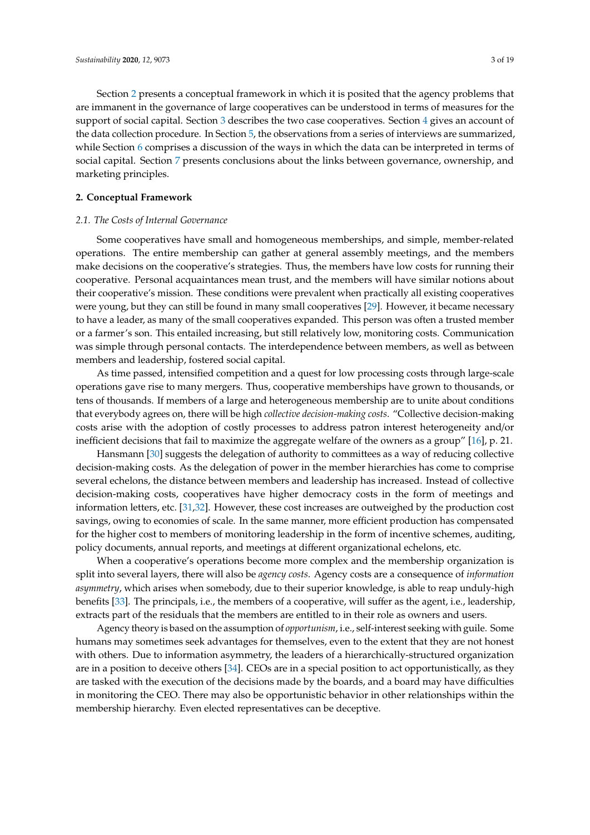Section [2](#page-2-0) presents a conceptual framework in which it is posited that the agency problems that are immanent in the governance of large cooperatives can be understood in terms of measures for the support of social capital. Section [3](#page-3-0) describes the two case cooperatives. Section [4](#page-9-0) gives an account of the data collection procedure. In Section [5,](#page-9-1) the observations from a series of interviews are summarized, while Section [6](#page-14-0) comprises a discussion of the ways in which the data can be interpreted in terms of social capital. Section [7](#page-15-0) presents conclusions about the links between governance, ownership, and marketing principles.

## <span id="page-2-0"></span>**2. Conceptual Framework**

## *2.1. The Costs of Internal Governance*

Some cooperatives have small and homogeneous memberships, and simple, member-related operations. The entire membership can gather at general assembly meetings, and the members make decisions on the cooperative's strategies. Thus, the members have low costs for running their cooperative. Personal acquaintances mean trust, and the members will have similar notions about their cooperative's mission. These conditions were prevalent when practically all existing cooperatives were young, but they can still be found in many small cooperatives [\[29\]](#page-17-9). However, it became necessary to have a leader, as many of the small cooperatives expanded. This person was often a trusted member or a farmer's son. This entailed increasing, but still relatively low, monitoring costs. Communication was simple through personal contacts. The interdependence between members, as well as between members and leadership, fostered social capital.

As time passed, intensified competition and a quest for low processing costs through large-scale operations gave rise to many mergers. Thus, cooperative memberships have grown to thousands, or tens of thousands. If members of a large and heterogeneous membership are to unite about conditions that everybody agrees on, there will be high *collective decision-making costs*. "Collective decision-making costs arise with the adoption of costly processes to address patron interest heterogeneity and/or inefficient decisions that fail to maximize the aggregate welfare of the owners as a group" [\[16\]](#page-16-13), p. 21.

Hansmann [\[30\]](#page-17-10) suggests the delegation of authority to committees as a way of reducing collective decision-making costs. As the delegation of power in the member hierarchies has come to comprise several echelons, the distance between members and leadership has increased. Instead of collective decision-making costs, cooperatives have higher democracy costs in the form of meetings and information letters, etc. [\[31](#page-17-11)[,32\]](#page-17-12). However, these cost increases are outweighed by the production cost savings, owing to economies of scale. In the same manner, more efficient production has compensated for the higher cost to members of monitoring leadership in the form of incentive schemes, auditing, policy documents, annual reports, and meetings at different organizational echelons, etc.

When a cooperative's operations become more complex and the membership organization is split into several layers, there will also be *agency costs*. Agency costs are a consequence of *information asymmetry*, which arises when somebody, due to their superior knowledge, is able to reap unduly-high benefits [\[33\]](#page-17-13). The principals, i.e., the members of a cooperative, will suffer as the agent, i.e., leadership, extracts part of the residuals that the members are entitled to in their role as owners and users.

Agency theory is based on the assumption of *opportunism*, i.e., self-interest seeking with guile. Some humans may sometimes seek advantages for themselves, even to the extent that they are not honest with others. Due to information asymmetry, the leaders of a hierarchically-structured organization are in a position to deceive others [\[34\]](#page-17-14). CEOs are in a special position to act opportunistically, as they are tasked with the execution of the decisions made by the boards, and a board may have difficulties in monitoring the CEO. There may also be opportunistic behavior in other relationships within the membership hierarchy. Even elected representatives can be deceptive.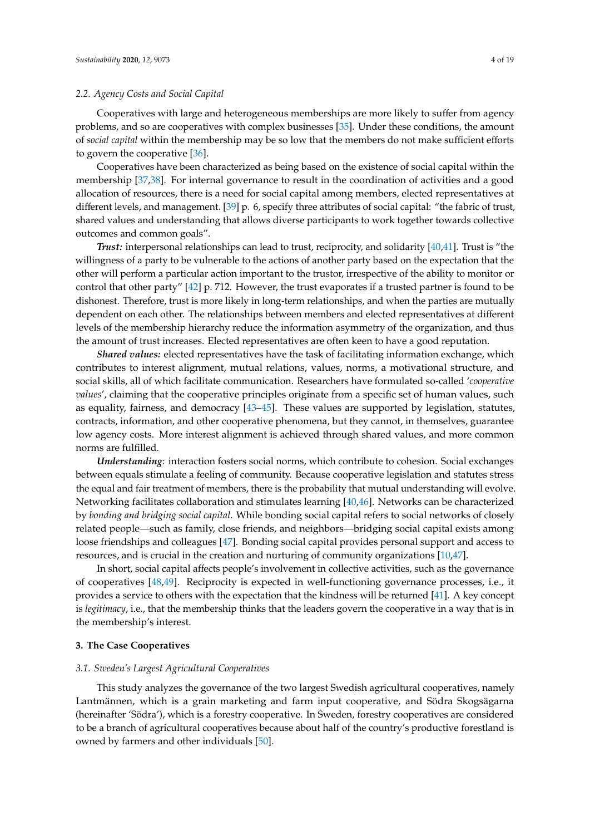## *2.2. Agency Costs and Social Capital*

Cooperatives with large and heterogeneous memberships are more likely to suffer from agency problems, and so are cooperatives with complex businesses [\[35\]](#page-17-15). Under these conditions, the amount of *social capital* within the membership may be so low that the members do not make sufficient efforts to govern the cooperative [\[36\]](#page-17-16).

Cooperatives have been characterized as being based on the existence of social capital within the membership [\[37](#page-17-17)[,38\]](#page-17-18). For internal governance to result in the coordination of activities and a good allocation of resources, there is a need for social capital among members, elected representatives at different levels, and management. [\[39\]](#page-17-19) p. 6, specify three attributes of social capital: "the fabric of trust, shared values and understanding that allows diverse participants to work together towards collective outcomes and common goals".

*Trust:* interpersonal relationships can lead to trust, reciprocity, and solidarity [\[40](#page-17-20)[,41\]](#page-17-21). Trust is "the willingness of a party to be vulnerable to the actions of another party based on the expectation that the other will perform a particular action important to the trustor, irrespective of the ability to monitor or control that other party" [\[42\]](#page-17-22) p. 712. However, the trust evaporates if a trusted partner is found to be dishonest. Therefore, trust is more likely in long-term relationships, and when the parties are mutually dependent on each other. The relationships between members and elected representatives at different levels of the membership hierarchy reduce the information asymmetry of the organization, and thus the amount of trust increases. Elected representatives are often keen to have a good reputation.

*Shared values:* elected representatives have the task of facilitating information exchange, which contributes to interest alignment, mutual relations, values, norms, a motivational structure, and social skills, all of which facilitate communication. Researchers have formulated so-called '*cooperative values*', claiming that the cooperative principles originate from a specific set of human values, such as equality, fairness, and democracy [\[43–](#page-17-23)[45\]](#page-18-0). These values are supported by legislation, statutes, contracts, information, and other cooperative phenomena, but they cannot, in themselves, guarantee low agency costs. More interest alignment is achieved through shared values, and more common norms are fulfilled.

*Understanding*: interaction fosters social norms, which contribute to cohesion. Social exchanges between equals stimulate a feeling of community. Because cooperative legislation and statutes stress the equal and fair treatment of members, there is the probability that mutual understanding will evolve. Networking facilitates collaboration and stimulates learning [\[40,](#page-17-20)[46\]](#page-18-1). Networks can be characterized by *bonding and bridging social capital*. While bonding social capital refers to social networks of closely related people—such as family, close friends, and neighbors—bridging social capital exists among loose friendships and colleagues [\[47\]](#page-18-2). Bonding social capital provides personal support and access to resources, and is crucial in the creation and nurturing of community organizations [\[10,](#page-16-8)[47\]](#page-18-2).

In short, social capital affects people's involvement in collective activities, such as the governance of cooperatives [\[48](#page-18-3)[,49\]](#page-18-4). Reciprocity is expected in well-functioning governance processes, i.e., it provides a service to others with the expectation that the kindness will be returned [\[41\]](#page-17-21). A key concept is *legitimacy*, i.e., that the membership thinks that the leaders govern the cooperative in a way that is in the membership's interest.

## <span id="page-3-0"></span>**3. The Case Cooperatives**

## *3.1. Sweden's Largest Agricultural Cooperatives*

This study analyzes the governance of the two largest Swedish agricultural cooperatives, namely Lantmännen, which is a grain marketing and farm input cooperative, and Södra Skogsägarna (hereinafter 'Södra'), which is a forestry cooperative. In Sweden, forestry cooperatives are considered to be a branch of agricultural cooperatives because about half of the country's productive forestland is owned by farmers and other individuals [\[50\]](#page-18-5).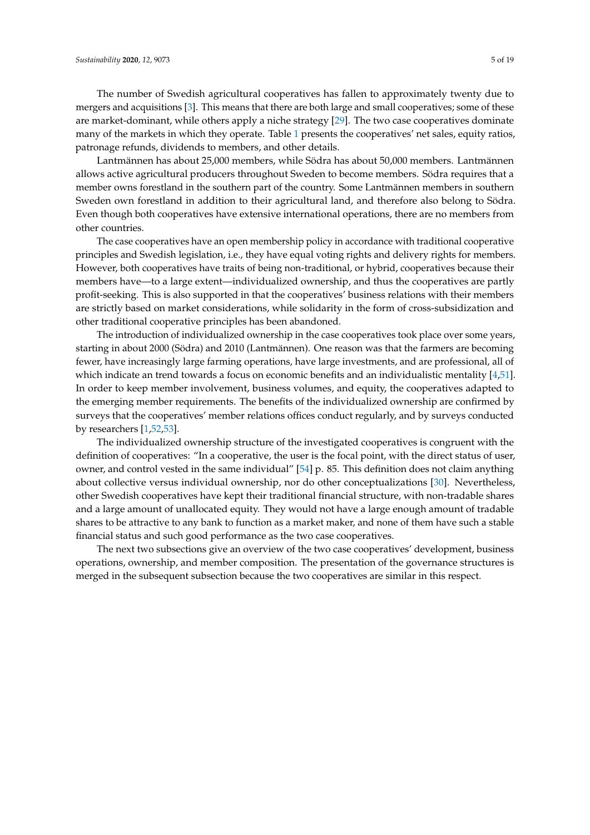The number of Swedish agricultural cooperatives has fallen to approximately twenty due to mergers and acquisitions [\[3\]](#page-16-15). This means that there are both large and small cooperatives; some of these are market-dominant, while others apply a niche strategy [\[29\]](#page-17-9). The two case cooperatives dominate many of the markets in which they operate. Table [1](#page-5-0) presents the cooperatives' net sales, equity ratios, patronage refunds, dividends to members, and other details.

Lantmännen has about 25,000 members, while Södra has about 50,000 members. Lantmännen allows active agricultural producers throughout Sweden to become members. Södra requires that a member owns forestland in the southern part of the country. Some Lantmännen members in southern Sweden own forestland in addition to their agricultural land, and therefore also belong to Södra. Even though both cooperatives have extensive international operations, there are no members from other countries.

The case cooperatives have an open membership policy in accordance with traditional cooperative principles and Swedish legislation, i.e., they have equal voting rights and delivery rights for members. However, both cooperatives have traits of being non-traditional, or hybrid, cooperatives because their members have—to a large extent—individualized ownership, and thus the cooperatives are partly profit-seeking. This is also supported in that the cooperatives' business relations with their members are strictly based on market considerations, while solidarity in the form of cross-subsidization and other traditional cooperative principles has been abandoned.

The introduction of individualized ownership in the case cooperatives took place over some years, starting in about 2000 (Södra) and 2010 (Lantmännen). One reason was that the farmers are becoming fewer, have increasingly large farming operations, have large investments, and are professional, all of which indicate an trend towards a focus on economic benefits and an individualistic mentality [\[4,](#page-16-2)[51\]](#page-18-6). In order to keep member involvement, business volumes, and equity, the cooperatives adapted to the emerging member requirements. The benefits of the individualized ownership are confirmed by surveys that the cooperatives' member relations offices conduct regularly, and by surveys conducted by researchers [\[1](#page-16-0)[,52,](#page-18-7)[53\]](#page-18-8).

The individualized ownership structure of the investigated cooperatives is congruent with the definition of cooperatives: "In a cooperative, the user is the focal point, with the direct status of user, owner, and control vested in the same individual" [\[54\]](#page-18-9) p. 85. This definition does not claim anything about collective versus individual ownership, nor do other conceptualizations [\[30\]](#page-17-10). Nevertheless, other Swedish cooperatives have kept their traditional financial structure, with non-tradable shares and a large amount of unallocated equity. They would not have a large enough amount of tradable shares to be attractive to any bank to function as a market maker, and none of them have such a stable financial status and such good performance as the two case cooperatives.

The next two subsections give an overview of the two case cooperatives' development, business operations, ownership, and member composition. The presentation of the governance structures is merged in the subsequent subsection because the two cooperatives are similar in this respect.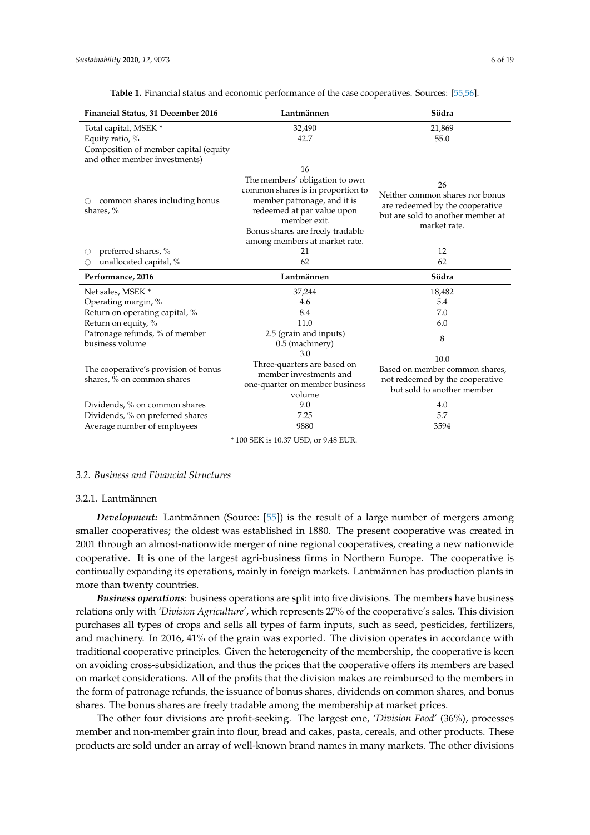<span id="page-5-0"></span>

| Financial Status, 31 December 2016                                 | Lantmännen                                                                                                                                                                                                                  | Södra                                                                                                                         |  |
|--------------------------------------------------------------------|-----------------------------------------------------------------------------------------------------------------------------------------------------------------------------------------------------------------------------|-------------------------------------------------------------------------------------------------------------------------------|--|
|                                                                    |                                                                                                                                                                                                                             |                                                                                                                               |  |
| Total capital, MSEK *                                              | 32,490                                                                                                                                                                                                                      | 21,869                                                                                                                        |  |
| Equity ratio, %                                                    | 42.7                                                                                                                                                                                                                        | 55.0                                                                                                                          |  |
| Composition of member capital (equity                              |                                                                                                                                                                                                                             |                                                                                                                               |  |
| and other member investments)                                      |                                                                                                                                                                                                                             |                                                                                                                               |  |
| common shares including bonus<br>shares, %                         | 16<br>The members' obligation to own<br>common shares is in proportion to<br>member patronage, and it is<br>redeemed at par value upon<br>member exit.<br>Bonus shares are freely tradable<br>among members at market rate. | 26<br>Neither common shares nor bonus<br>are redeemed by the cooperative<br>but are sold to another member at<br>market rate. |  |
| preferred shares, %                                                | 21                                                                                                                                                                                                                          | 12                                                                                                                            |  |
| unallocated capital, %                                             | 62                                                                                                                                                                                                                          | 62                                                                                                                            |  |
|                                                                    |                                                                                                                                                                                                                             |                                                                                                                               |  |
| Performance, 2016                                                  | Lantmännen                                                                                                                                                                                                                  | Södra                                                                                                                         |  |
| Net sales, MSEK *                                                  | 37,244                                                                                                                                                                                                                      | 18,482                                                                                                                        |  |
| Operating margin, %                                                | 4.6                                                                                                                                                                                                                         | 5.4                                                                                                                           |  |
| Return on operating capital, %                                     | 8.4                                                                                                                                                                                                                         | 7.0                                                                                                                           |  |
| Return on equity, %                                                | 11.0                                                                                                                                                                                                                        | 6.0                                                                                                                           |  |
| Patronage refunds, % of member<br>business volume                  | 2.5 (grain and inputs)<br>0.5 (machinery)                                                                                                                                                                                   | 8                                                                                                                             |  |
| The cooperative's provision of bonus<br>shares, % on common shares | 3.0<br>Three-quarters are based on<br>member investments and<br>one-quarter on member business<br>volume                                                                                                                    | 10.0<br>Based on member common shares,<br>not redeemed by the cooperative<br>but sold to another member                       |  |
|                                                                    | 9.0                                                                                                                                                                                                                         | 4.0                                                                                                                           |  |
| Dividends, % on common shares                                      | 7.25                                                                                                                                                                                                                        | 5.7                                                                                                                           |  |
| Dividends, % on preferred shares<br>Average number of employees    | 9880                                                                                                                                                                                                                        | 3594                                                                                                                          |  |

**Table 1.** Financial status and economic performance of the case cooperatives. Sources: [\[55](#page-18-10)[,56\]](#page-18-11).

## *3.2. Business and Financial Structures*

#### 3.2.1. Lantmännen

*Development:* Lantmännen (Source: [\[55\]](#page-18-10)) is the result of a large number of mergers among smaller cooperatives; the oldest was established in 1880. The present cooperative was created in 2001 through an almost-nationwide merger of nine regional cooperatives, creating a new nationwide cooperative. It is one of the largest agri-business firms in Northern Europe. The cooperative is continually expanding its operations, mainly in foreign markets. Lantmännen has production plants in more than twenty countries.

*Business operations*: business operations are split into five divisions. The members have business relations only with *'Division Agriculture'*, which represents 27% of the cooperative's sales. This division purchases all types of crops and sells all types of farm inputs, such as seed, pesticides, fertilizers, and machinery. In 2016, 41% of the grain was exported. The division operates in accordance with traditional cooperative principles. Given the heterogeneity of the membership, the cooperative is keen on avoiding cross-subsidization, and thus the prices that the cooperative offers its members are based on market considerations. All of the profits that the division makes are reimbursed to the members in the form of patronage refunds, the issuance of bonus shares, dividends on common shares, and bonus shares. The bonus shares are freely tradable among the membership at market prices.

The other four divisions are profit-seeking. The largest one, '*Division Food*' (36%), processes member and non-member grain into flour, bread and cakes, pasta, cereals, and other products. These products are sold under an array of well-known brand names in many markets. The other divisions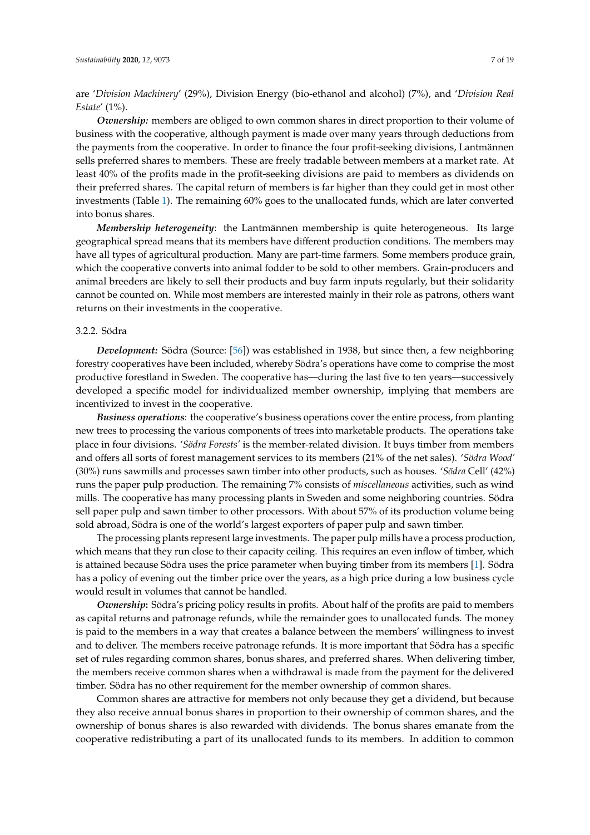are '*Division Machinery*' (29%), Division Energy (bio-ethanol and alcohol) (7%), and '*Division Real Estate*' (1%).

*Ownership:* members are obliged to own common shares in direct proportion to their volume of business with the cooperative, although payment is made over many years through deductions from the payments from the cooperative. In order to finance the four profit-seeking divisions, Lantmännen sells preferred shares to members. These are freely tradable between members at a market rate. At least 40% of the profits made in the profit-seeking divisions are paid to members as dividends on their preferred shares. The capital return of members is far higher than they could get in most other investments (Table [1\)](#page-5-0). The remaining 60% goes to the unallocated funds, which are later converted into bonus shares.

*Membership heterogeneity*: the Lantmännen membership is quite heterogeneous. Its large geographical spread means that its members have different production conditions. The members may have all types of agricultural production. Many are part-time farmers. Some members produce grain, which the cooperative converts into animal fodder to be sold to other members. Grain-producers and animal breeders are likely to sell their products and buy farm inputs regularly, but their solidarity cannot be counted on. While most members are interested mainly in their role as patrons, others want returns on their investments in the cooperative.

## 3.2.2. Södra

*Development:* Södra (Source: [\[56\]](#page-18-11)) was established in 1938, but since then, a few neighboring forestry cooperatives have been included, whereby Södra's operations have come to comprise the most productive forestland in Sweden. The cooperative has—during the last five to ten years—successively developed a specific model for individualized member ownership, implying that members are incentivized to invest in the cooperative.

*Business operations*: the cooperative's business operations cover the entire process, from planting new trees to processing the various components of trees into marketable products. The operations take place in four divisions. '*Södra Forests'* is the member-related division. It buys timber from members and offers all sorts of forest management services to its members (21% of the net sales). '*Södra Wood'* (30%) runs sawmills and processes sawn timber into other products, such as houses. '*Södra* Cell' (42%) runs the paper pulp production. The remaining 7% consists of *miscellaneous* activities, such as wind mills. The cooperative has many processing plants in Sweden and some neighboring countries. Södra sell paper pulp and sawn timber to other processors. With about 57% of its production volume being sold abroad, Södra is one of the world's largest exporters of paper pulp and sawn timber.

The processing plants represent large investments. The paper pulp mills have a process production, which means that they run close to their capacity ceiling. This requires an even inflow of timber, which is attained because Södra uses the price parameter when buying timber from its members [\[1\]](#page-16-0). Södra has a policy of evening out the timber price over the years, as a high price during a low business cycle would result in volumes that cannot be handled.

*Ownership***:** Södra's pricing policy results in profits. About half of the profits are paid to members as capital returns and patronage refunds, while the remainder goes to unallocated funds. The money is paid to the members in a way that creates a balance between the members' willingness to invest and to deliver. The members receive patronage refunds. It is more important that Södra has a specific set of rules regarding common shares, bonus shares, and preferred shares. When delivering timber, the members receive common shares when a withdrawal is made from the payment for the delivered timber. Södra has no other requirement for the member ownership of common shares.

Common shares are attractive for members not only because they get a dividend, but because they also receive annual bonus shares in proportion to their ownership of common shares, and the ownership of bonus shares is also rewarded with dividends. The bonus shares emanate from the cooperative redistributing a part of its unallocated funds to its members. In addition to common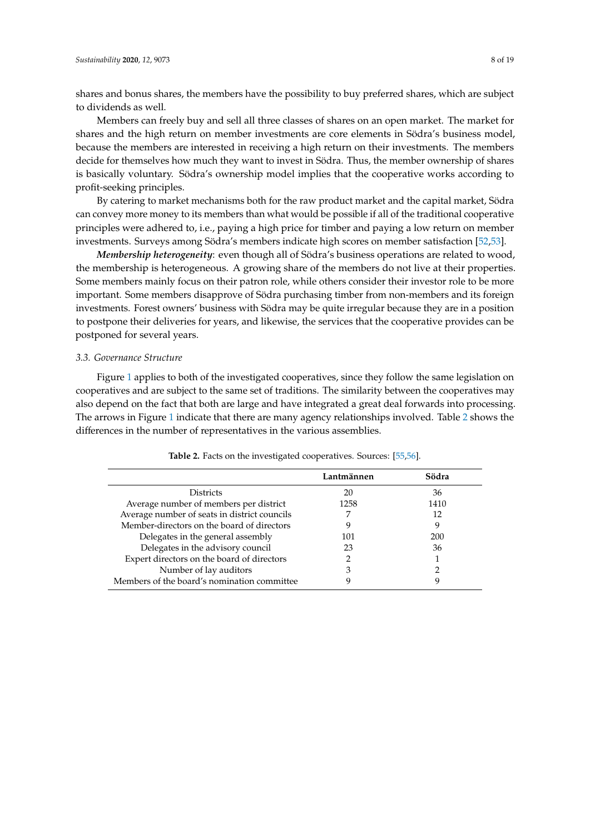shares and bonus shares, the members have the possibility to buy preferred shares, which are subject to dividends as well.

Members can freely buy and sell all three classes of shares on an open market. The market for shares and the high return on member investments are core elements in Södra's business model, because the members are interested in receiving a high return on their investments. The members decide for themselves how much they want to invest in Södra. Thus, the member ownership of shares is basically voluntary. Södra's ownership model implies that the cooperative works according to profit-seeking principles.

By catering to market mechanisms both for the raw product market and the capital market, Södra can convey more money to its members than what would be possible if all of the traditional cooperative principles were adhered to, i.e., paying a high price for timber and paying a low return on member investments. Surveys among Södra's members indicate high scores on member satisfaction [\[52](#page-18-7)[,53\]](#page-18-8).

*Membership heterogeneity*: even though all of Södra's business operations are related to wood, the membership is heterogeneous. A growing share of the members do not live at their properties. Some members mainly focus on their patron role, while others consider their investor role to be more important. Some members disapprove of Södra purchasing timber from non-members and its foreign investments. Forest owners' business with Södra may be quite irregular because they are in a position to postpone their deliveries for years, and likewise, the services that the cooperative provides can be postponed for several years.

#### *3.3. Governance Structure*

Figure [1](#page-8-0) applies to both of the investigated cooperatives, since they follow the same legislation on cooperatives and are subject to the same set of traditions. The similarity between the cooperatives may also depend on the fact that both are large and have integrated a great deal forwards into processing. The arrows in Figure [1](#page-8-0) indicate that there are many agency relationships involved. Table [2](#page-7-0) shows the differences in the number of representatives in the various assemblies.

<span id="page-7-0"></span>

| Lantmännen | Södra |
|------------|-------|
| 20         | 36    |
| 1258       | 1410  |
|            | 12    |
|            | 9     |
| 101        | 200   |
| 23         | 36    |
|            |       |
|            |       |
|            |       |
|            |       |

**Table 2.** Facts on the investigated cooperatives. Sources: [\[55](#page-18-10)[,56\]](#page-18-11).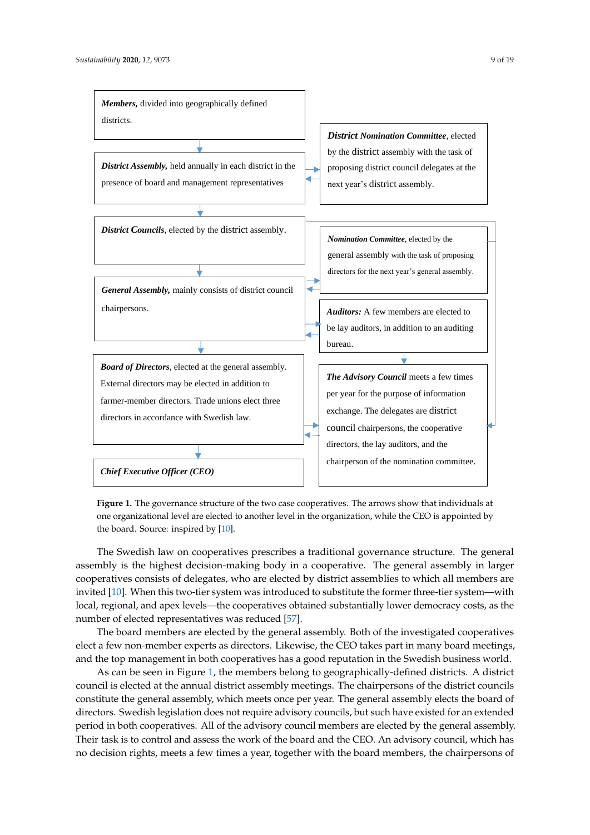districts.

<span id="page-8-0"></span>

*General Assembly,* mainly consists of district council chairpersons.

*Board of Directors*, elected at the general assembly. External directors may be elected in addition to farmer-member directors. Trade unions elect three directors in accordance with Swedish law.

*The Advisory Council* meets a few times per year for the purpose of information exchange. The delegates are district council chairpersons, the cooperative be lay auditors, in addition to an auditing bureau.

*Auditors:* A few members are elected to

chairperson of the nomination committee.

directors, the lay auditors, and the

*Chief Executive Officer (CEO)*

**Figure 1.** The governance structure of the two case cooperatives. The arrows show that individuals at **Figure 1.** The governance structure of the two case cooperatives. The arrows show that individuals at one organizational level are elected to another level in the organization, while the CEO is appointed by by the board. Source: inspired by [10]. the board. Source: inspired by [\[10\]](#page-16-8).

The Swedish law on cooperatives prescribes a traditional governance structure. The general cooperatives consists of delegates, who are elected by district assemblies to which all members are invited [\[10\]](#page-16-8). When this two-tier system was introduced to substitute the former three-tier system—with local, regional, and apex levels—the cooperatives obtained substantially lower democracy costs, as the number of elected representatives was reduced [\[57\]](#page-18-12). assembly is the highest decision-making body in a cooperative. The general assembly in larger

The board members are elected by the general assembly. Both of the investigated cooperatives elect a few non-member experts as directors. Likewise, the CEO takes part in many board meetings, and the top management in both cooperatives has a good reputation in the Swedish business world.

As can be seen in Figure [1,](#page-8-0) the members belong to geographically-defined districts. A district council is elected at the annual district assembly meetings. The chairpersons of the district councils constitute the general assembly, which meets once per year. The general assembly elects the board of period in both cooperatives. All of the advisory council members are elected by the general assembly. Their task is to control and assess the work of the board and the CEO. An advisory council, which has no decision rights, meets a few times a year, together with the board members, the chairpersons of  $\ddot{\phantom{a}}$  and  $\ddot{\phantom{a}}$  advisory councils, but such have existed for an analysis  $\ddot{\phantom{a}}$ directors. Swedish legislation does not require advisory councils, but such have existed for an extended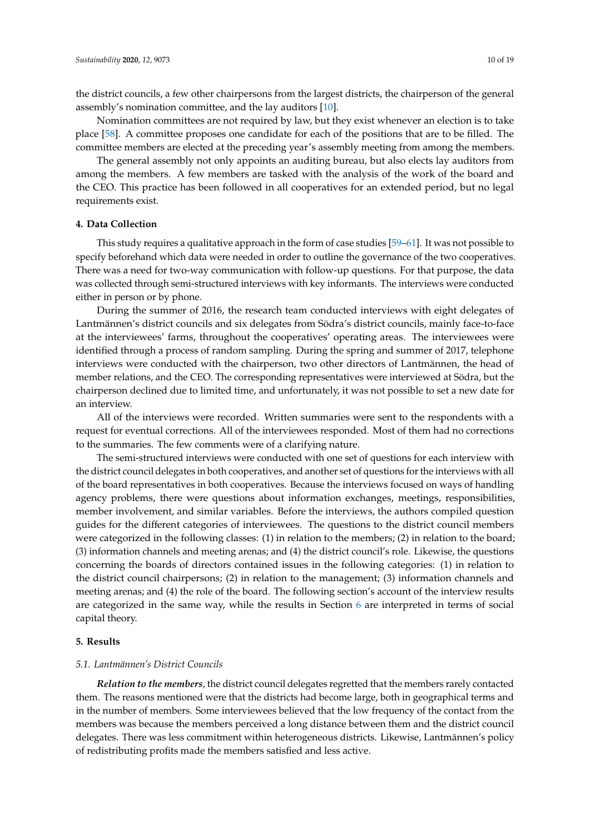the district councils, a few other chairpersons from the largest districts, the chairperson of the general assembly's nomination committee, and the lay auditors [\[10\]](#page-16-8).

Nomination committees are not required by law, but they exist whenever an election is to take place [\[58\]](#page-18-13). A committee proposes one candidate for each of the positions that are to be filled. The committee members are elected at the preceding year's assembly meeting from among the members.

The general assembly not only appoints an auditing bureau, but also elects lay auditors from among the members. A few members are tasked with the analysis of the work of the board and the CEO. This practice has been followed in all cooperatives for an extended period, but no legal requirements exist.

## <span id="page-9-0"></span>**4. Data Collection**

This study requires a qualitative approach in the form of case studies [\[59](#page-18-14)[–61\]](#page-18-15). It was not possible to specify beforehand which data were needed in order to outline the governance of the two cooperatives. There was a need for two-way communication with follow-up questions. For that purpose, the data was collected through semi-structured interviews with key informants. The interviews were conducted either in person or by phone.

During the summer of 2016, the research team conducted interviews with eight delegates of Lantmännen's district councils and six delegates from Södra's district councils, mainly face-to-face at the interviewees' farms, throughout the cooperatives' operating areas. The interviewees were identified through a process of random sampling. During the spring and summer of 2017, telephone interviews were conducted with the chairperson, two other directors of Lantmännen, the head of member relations, and the CEO. The corresponding representatives were interviewed at Södra, but the chairperson declined due to limited time, and unfortunately, it was not possible to set a new date for an interview.

All of the interviews were recorded. Written summaries were sent to the respondents with a request for eventual corrections. All of the interviewees responded. Most of them had no corrections to the summaries. The few comments were of a clarifying nature.

The semi-structured interviews were conducted with one set of questions for each interview with the district council delegates in both cooperatives, and another set of questions for the interviews with all of the board representatives in both cooperatives. Because the interviews focused on ways of handling agency problems, there were questions about information exchanges, meetings, responsibilities, member involvement, and similar variables. Before the interviews, the authors compiled question guides for the different categories of interviewees. The questions to the district council members were categorized in the following classes: (1) in relation to the members; (2) in relation to the board; (3) information channels and meeting arenas; and (4) the district council's role. Likewise, the questions concerning the boards of directors contained issues in the following categories: (1) in relation to the district council chairpersons; (2) in relation to the management; (3) information channels and meeting arenas; and (4) the role of the board. The following section's account of the interview results are categorized in the same way, while the results in Section [6](#page-14-0) are interpreted in terms of social capital theory.

#### <span id="page-9-1"></span>**5. Results**

#### *5.1. Lantmännen's District Councils*

*Relation to the members*, the district council delegates regretted that the members rarely contacted them. The reasons mentioned were that the districts had become large, both in geographical terms and in the number of members. Some interviewees believed that the low frequency of the contact from the members was because the members perceived a long distance between them and the district council delegates. There was less commitment within heterogeneous districts. Likewise, Lantmännen's policy of redistributing profits made the members satisfied and less active.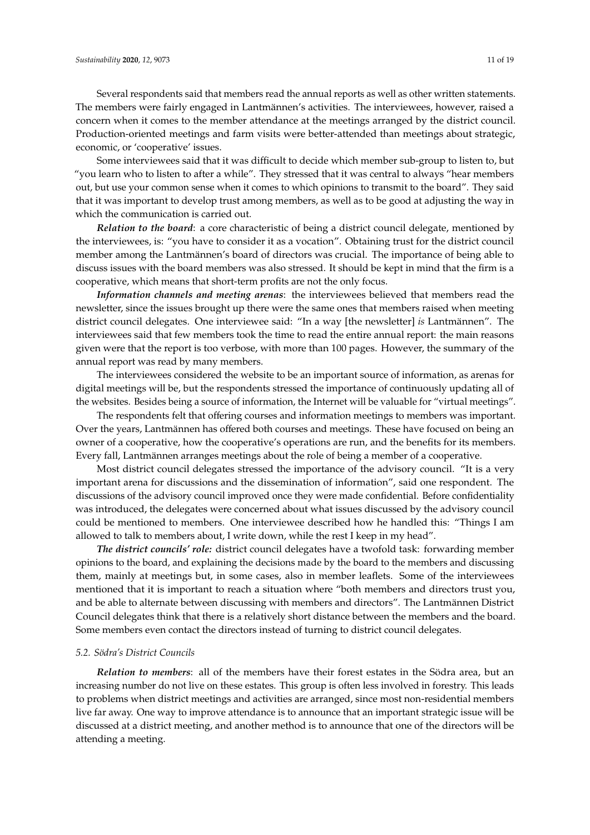Several respondents said that members read the annual reports as well as other written statements. The members were fairly engaged in Lantmännen's activities. The interviewees, however, raised a concern when it comes to the member attendance at the meetings arranged by the district council. Production-oriented meetings and farm visits were better-attended than meetings about strategic, economic, or 'cooperative' issues.

Some interviewees said that it was difficult to decide which member sub-group to listen to, but "you learn who to listen to after a while". They stressed that it was central to always "hear members out, but use your common sense when it comes to which opinions to transmit to the board". They said that it was important to develop trust among members, as well as to be good at adjusting the way in which the communication is carried out.

*Relation to the board*: a core characteristic of being a district council delegate, mentioned by the interviewees, is: "you have to consider it as a vocation". Obtaining trust for the district council member among the Lantmännen's board of directors was crucial. The importance of being able to discuss issues with the board members was also stressed. It should be kept in mind that the firm is a cooperative, which means that short-term profits are not the only focus.

*Information channels and meeting arenas*: the interviewees believed that members read the newsletter, since the issues brought up there were the same ones that members raised when meeting district council delegates. One interviewee said: "In a way [the newsletter] *is* Lantmännen". The interviewees said that few members took the time to read the entire annual report: the main reasons given were that the report is too verbose, with more than 100 pages. However, the summary of the annual report was read by many members.

The interviewees considered the website to be an important source of information, as arenas for digital meetings will be, but the respondents stressed the importance of continuously updating all of the websites. Besides being a source of information, the Internet will be valuable for "virtual meetings".

The respondents felt that offering courses and information meetings to members was important. Over the years, Lantmännen has offered both courses and meetings. These have focused on being an owner of a cooperative, how the cooperative's operations are run, and the benefits for its members. Every fall, Lantmännen arranges meetings about the role of being a member of a cooperative.

Most district council delegates stressed the importance of the advisory council. "It is a very important arena for discussions and the dissemination of information", said one respondent. The discussions of the advisory council improved once they were made confidential. Before confidentiality was introduced, the delegates were concerned about what issues discussed by the advisory council could be mentioned to members. One interviewee described how he handled this: "Things I am allowed to talk to members about, I write down, while the rest I keep in my head".

*The district councils' role:* district council delegates have a twofold task: forwarding member opinions to the board, and explaining the decisions made by the board to the members and discussing them, mainly at meetings but, in some cases, also in member leaflets. Some of the interviewees mentioned that it is important to reach a situation where "both members and directors trust you, and be able to alternate between discussing with members and directors". The Lantmännen District Council delegates think that there is a relatively short distance between the members and the board. Some members even contact the directors instead of turning to district council delegates.

#### *5.2. Södra's District Councils*

*Relation to members*: all of the members have their forest estates in the Södra area, but an increasing number do not live on these estates. This group is often less involved in forestry. This leads to problems when district meetings and activities are arranged, since most non-residential members live far away. One way to improve attendance is to announce that an important strategic issue will be discussed at a district meeting, and another method is to announce that one of the directors will be attending a meeting.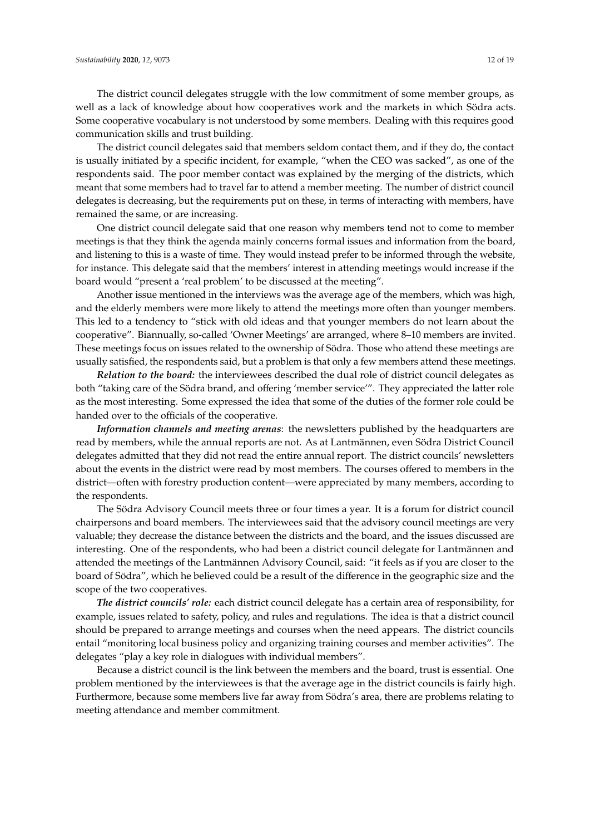The district council delegates struggle with the low commitment of some member groups, as well as a lack of knowledge about how cooperatives work and the markets in which Södra acts. Some cooperative vocabulary is not understood by some members. Dealing with this requires good communication skills and trust building.

The district council delegates said that members seldom contact them, and if they do, the contact is usually initiated by a specific incident, for example, "when the CEO was sacked", as one of the respondents said. The poor member contact was explained by the merging of the districts, which meant that some members had to travel far to attend a member meeting. The number of district council delegates is decreasing, but the requirements put on these, in terms of interacting with members, have remained the same, or are increasing.

One district council delegate said that one reason why members tend not to come to member meetings is that they think the agenda mainly concerns formal issues and information from the board, and listening to this is a waste of time. They would instead prefer to be informed through the website, for instance. This delegate said that the members' interest in attending meetings would increase if the board would "present a 'real problem' to be discussed at the meeting".

Another issue mentioned in the interviews was the average age of the members, which was high, and the elderly members were more likely to attend the meetings more often than younger members. This led to a tendency to "stick with old ideas and that younger members do not learn about the cooperative". Biannually, so-called 'Owner Meetings' are arranged, where 8–10 members are invited. These meetings focus on issues related to the ownership of Södra. Those who attend these meetings are usually satisfied, the respondents said, but a problem is that only a few members attend these meetings.

*Relation to the board:* the interviewees described the dual role of district council delegates as both "taking care of the Södra brand, and offering 'member service'". They appreciated the latter role as the most interesting. Some expressed the idea that some of the duties of the former role could be handed over to the officials of the cooperative.

*Information channels and meeting arenas*: the newsletters published by the headquarters are read by members, while the annual reports are not. As at Lantmännen, even Södra District Council delegates admitted that they did not read the entire annual report. The district councils' newsletters about the events in the district were read by most members. The courses offered to members in the district—often with forestry production content—were appreciated by many members, according to the respondents.

The Södra Advisory Council meets three or four times a year. It is a forum for district council chairpersons and board members. The interviewees said that the advisory council meetings are very valuable; they decrease the distance between the districts and the board, and the issues discussed are interesting. One of the respondents, who had been a district council delegate for Lantmännen and attended the meetings of the Lantmännen Advisory Council, said: "it feels as if you are closer to the board of Södra", which he believed could be a result of the difference in the geographic size and the scope of the two cooperatives.

*The district councils' role:* each district council delegate has a certain area of responsibility, for example, issues related to safety, policy, and rules and regulations. The idea is that a district council should be prepared to arrange meetings and courses when the need appears. The district councils entail "monitoring local business policy and organizing training courses and member activities". The delegates "play a key role in dialogues with individual members".

Because a district council is the link between the members and the board, trust is essential. One problem mentioned by the interviewees is that the average age in the district councils is fairly high. Furthermore, because some members live far away from Södra's area, there are problems relating to meeting attendance and member commitment.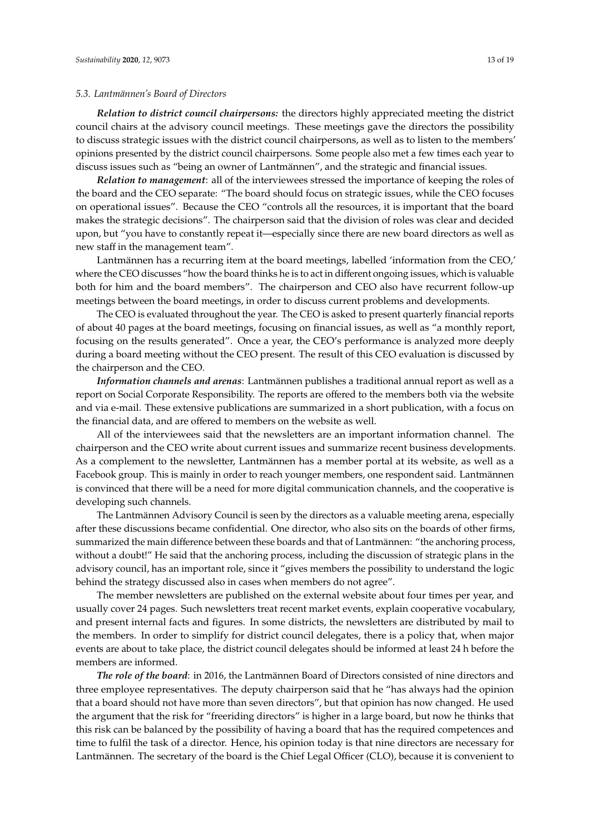## *5.3. Lantmännen's Board of Directors*

*Relation to district council chairpersons:* the directors highly appreciated meeting the district council chairs at the advisory council meetings. These meetings gave the directors the possibility to discuss strategic issues with the district council chairpersons, as well as to listen to the members' opinions presented by the district council chairpersons. Some people also met a few times each year to discuss issues such as "being an owner of Lantmännen", and the strategic and financial issues.

*Relation to management*: all of the interviewees stressed the importance of keeping the roles of the board and the CEO separate: "The board should focus on strategic issues, while the CEO focuses on operational issues". Because the CEO "controls all the resources, it is important that the board makes the strategic decisions". The chairperson said that the division of roles was clear and decided upon, but "you have to constantly repeat it—especially since there are new board directors as well as new staff in the management team".

Lantmännen has a recurring item at the board meetings, labelled 'information from the CEO,' where the CEO discusses "how the board thinks he is to act in different ongoing issues, which is valuable both for him and the board members". The chairperson and CEO also have recurrent follow-up meetings between the board meetings, in order to discuss current problems and developments.

The CEO is evaluated throughout the year. The CEO is asked to present quarterly financial reports of about 40 pages at the board meetings, focusing on financial issues, as well as "a monthly report, focusing on the results generated". Once a year, the CEO's performance is analyzed more deeply during a board meeting without the CEO present. The result of this CEO evaluation is discussed by the chairperson and the CEO.

*Information channels and arenas*: Lantmännen publishes a traditional annual report as well as a report on Social Corporate Responsibility. The reports are offered to the members both via the website and via e-mail. These extensive publications are summarized in a short publication, with a focus on the financial data, and are offered to members on the website as well.

All of the interviewees said that the newsletters are an important information channel. The chairperson and the CEO write about current issues and summarize recent business developments. As a complement to the newsletter, Lantmännen has a member portal at its website, as well as a Facebook group. This is mainly in order to reach younger members, one respondent said. Lantmännen is convinced that there will be a need for more digital communication channels, and the cooperative is developing such channels.

The Lantmännen Advisory Council is seen by the directors as a valuable meeting arena, especially after these discussions became confidential. One director, who also sits on the boards of other firms, summarized the main difference between these boards and that of Lantmännen: "the anchoring process, without a doubt!" He said that the anchoring process, including the discussion of strategic plans in the advisory council, has an important role, since it "gives members the possibility to understand the logic behind the strategy discussed also in cases when members do not agree".

The member newsletters are published on the external website about four times per year, and usually cover 24 pages. Such newsletters treat recent market events, explain cooperative vocabulary, and present internal facts and figures. In some districts, the newsletters are distributed by mail to the members. In order to simplify for district council delegates, there is a policy that, when major events are about to take place, the district council delegates should be informed at least 24 h before the members are informed.

*The role of the board*: in 2016, the Lantmännen Board of Directors consisted of nine directors and three employee representatives. The deputy chairperson said that he "has always had the opinion that a board should not have more than seven directors", but that opinion has now changed. He used the argument that the risk for "freeriding directors" is higher in a large board, but now he thinks that this risk can be balanced by the possibility of having a board that has the required competences and time to fulfil the task of a director. Hence, his opinion today is that nine directors are necessary for Lantmännen. The secretary of the board is the Chief Legal Officer (CLO), because it is convenient to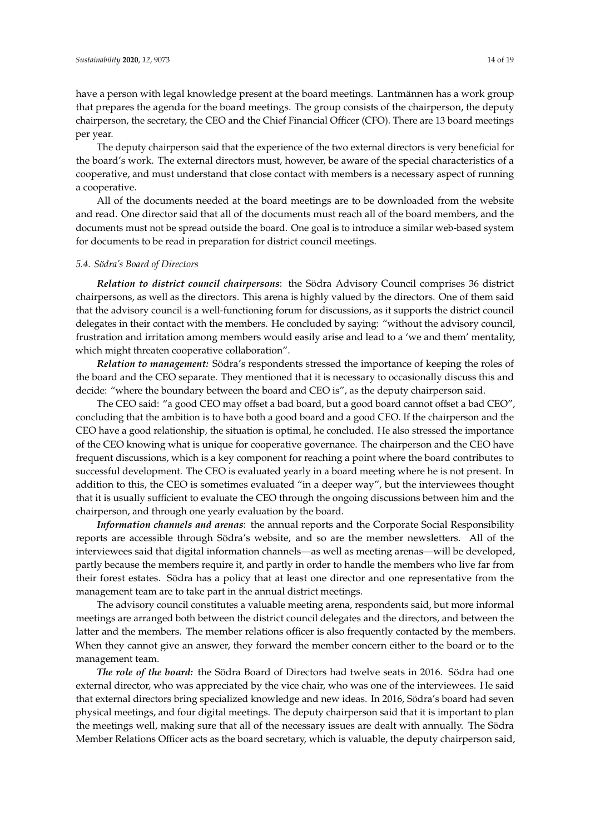have a person with legal knowledge present at the board meetings. Lantmännen has a work group that prepares the agenda for the board meetings. The group consists of the chairperson, the deputy chairperson, the secretary, the CEO and the Chief Financial Officer (CFO). There are 13 board meetings per year.

The deputy chairperson said that the experience of the two external directors is very beneficial for the board's work. The external directors must, however, be aware of the special characteristics of a cooperative, and must understand that close contact with members is a necessary aspect of running a cooperative.

All of the documents needed at the board meetings are to be downloaded from the website and read. One director said that all of the documents must reach all of the board members, and the documents must not be spread outside the board. One goal is to introduce a similar web-based system for documents to be read in preparation for district council meetings.

## *5.4. Södra's Board of Directors*

*Relation to district council chairpersons*: the Södra Advisory Council comprises 36 district chairpersons, as well as the directors. This arena is highly valued by the directors. One of them said that the advisory council is a well-functioning forum for discussions, as it supports the district council delegates in their contact with the members. He concluded by saying: "without the advisory council, frustration and irritation among members would easily arise and lead to a 'we and them' mentality, which might threaten cooperative collaboration".

*Relation to management:* Södra's respondents stressed the importance of keeping the roles of the board and the CEO separate. They mentioned that it is necessary to occasionally discuss this and decide: "where the boundary between the board and CEO is", as the deputy chairperson said.

The CEO said: "a good CEO may offset a bad board, but a good board cannot offset a bad CEO", concluding that the ambition is to have both a good board and a good CEO. If the chairperson and the CEO have a good relationship, the situation is optimal, he concluded. He also stressed the importance of the CEO knowing what is unique for cooperative governance. The chairperson and the CEO have frequent discussions, which is a key component for reaching a point where the board contributes to successful development. The CEO is evaluated yearly in a board meeting where he is not present. In addition to this, the CEO is sometimes evaluated "in a deeper way", but the interviewees thought that it is usually sufficient to evaluate the CEO through the ongoing discussions between him and the chairperson, and through one yearly evaluation by the board.

*Information channels and arenas*: the annual reports and the Corporate Social Responsibility reports are accessible through Södra's website, and so are the member newsletters. All of the interviewees said that digital information channels—as well as meeting arenas—will be developed, partly because the members require it, and partly in order to handle the members who live far from their forest estates. Södra has a policy that at least one director and one representative from the management team are to take part in the annual district meetings.

The advisory council constitutes a valuable meeting arena, respondents said, but more informal meetings are arranged both between the district council delegates and the directors, and between the latter and the members. The member relations officer is also frequently contacted by the members. When they cannot give an answer, they forward the member concern either to the board or to the management team.

*The role of the board:* the Södra Board of Directors had twelve seats in 2016. Södra had one external director, who was appreciated by the vice chair, who was one of the interviewees. He said that external directors bring specialized knowledge and new ideas. In 2016, Södra's board had seven physical meetings, and four digital meetings. The deputy chairperson said that it is important to plan the meetings well, making sure that all of the necessary issues are dealt with annually. The Södra Member Relations Officer acts as the board secretary, which is valuable, the deputy chairperson said,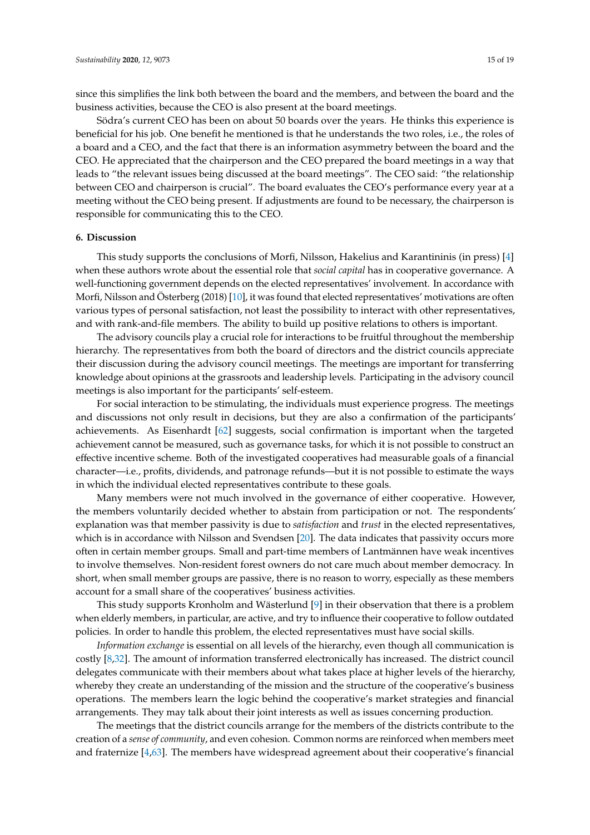since this simplifies the link both between the board and the members, and between the board and the business activities, because the CEO is also present at the board meetings.

Södra's current CEO has been on about 50 boards over the years. He thinks this experience is beneficial for his job. One benefit he mentioned is that he understands the two roles, i.e., the roles of a board and a CEO, and the fact that there is an information asymmetry between the board and the CEO. He appreciated that the chairperson and the CEO prepared the board meetings in a way that leads to "the relevant issues being discussed at the board meetings". The CEO said: "the relationship between CEO and chairperson is crucial". The board evaluates the CEO's performance every year at a meeting without the CEO being present. If adjustments are found to be necessary, the chairperson is responsible for communicating this to the CEO.

## <span id="page-14-0"></span>**6. Discussion**

This study supports the conclusions of Morfi, Nilsson, Hakelius and Karantininis (in press) [\[4\]](#page-16-2) when these authors wrote about the essential role that *social capital* has in cooperative governance. A well-functioning government depends on the elected representatives' involvement. In accordance with Morfi, Nilsson and Österberg (2018) [\[10\]](#page-16-8), it was found that elected representatives' motivations are often various types of personal satisfaction, not least the possibility to interact with other representatives, and with rank-and-file members. The ability to build up positive relations to others is important.

The advisory councils play a crucial role for interactions to be fruitful throughout the membership hierarchy. The representatives from both the board of directors and the district councils appreciate their discussion during the advisory council meetings. The meetings are important for transferring knowledge about opinions at the grassroots and leadership levels. Participating in the advisory council meetings is also important for the participants' self-esteem.

For social interaction to be stimulating, the individuals must experience progress. The meetings and discussions not only result in decisions, but they are also a confirmation of the participants' achievements. As Eisenhardt [\[62\]](#page-18-16) suggests, social confirmation is important when the targeted achievement cannot be measured, such as governance tasks, for which it is not possible to construct an effective incentive scheme. Both of the investigated cooperatives had measurable goals of a financial character—i.e., profits, dividends, and patronage refunds—but it is not possible to estimate the ways in which the individual elected representatives contribute to these goals.

Many members were not much involved in the governance of either cooperative. However, the members voluntarily decided whether to abstain from participation or not. The respondents' explanation was that member passivity is due to *satisfaction* and *trust* in the elected representatives, which is in accordance with Nilsson and Svendsen [\[20\]](#page-17-2). The data indicates that passivity occurs more often in certain member groups. Small and part-time members of Lantmännen have weak incentives to involve themselves. Non-resident forest owners do not care much about member democracy. In short, when small member groups are passive, there is no reason to worry, especially as these members account for a small share of the cooperatives' business activities.

This study supports Kronholm and Wästerlund [\[9\]](#page-16-7) in their observation that there is a problem when elderly members, in particular, are active, and try to influence their cooperative to follow outdated policies. In order to handle this problem, the elected representatives must have social skills.

*Information exchange* is essential on all levels of the hierarchy, even though all communication is costly [\[8,](#page-16-6)[32\]](#page-17-12). The amount of information transferred electronically has increased. The district council delegates communicate with their members about what takes place at higher levels of the hierarchy, whereby they create an understanding of the mission and the structure of the cooperative's business operations. The members learn the logic behind the cooperative's market strategies and financial arrangements. They may talk about their joint interests as well as issues concerning production.

The meetings that the district councils arrange for the members of the districts contribute to the creation of a *sense of community*, and even cohesion. Common norms are reinforced when members meet and fraternize [\[4,](#page-16-2)[63\]](#page-18-17). The members have widespread agreement about their cooperative's financial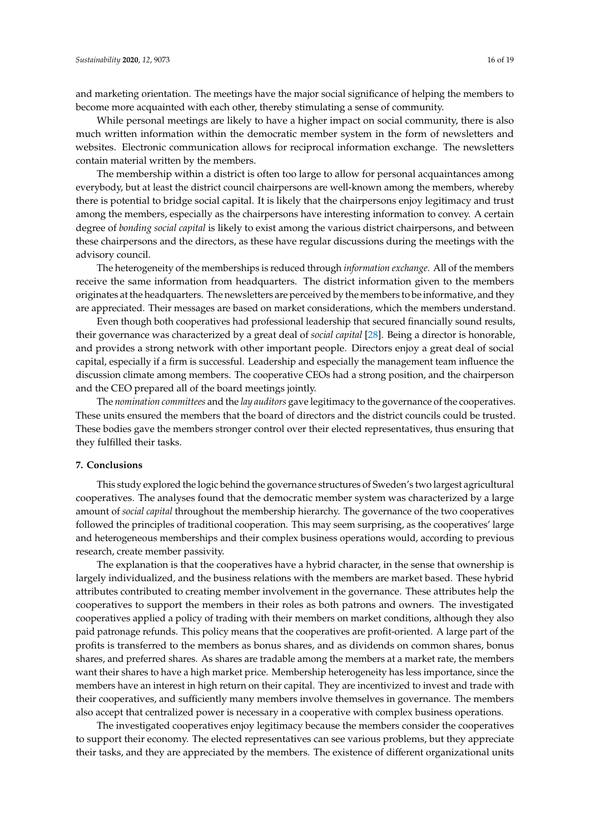and marketing orientation. The meetings have the major social significance of helping the members to become more acquainted with each other, thereby stimulating a sense of community.

While personal meetings are likely to have a higher impact on social community, there is also much written information within the democratic member system in the form of newsletters and websites. Electronic communication allows for reciprocal information exchange. The newsletters contain material written by the members.

The membership within a district is often too large to allow for personal acquaintances among everybody, but at least the district council chairpersons are well-known among the members, whereby there is potential to bridge social capital. It is likely that the chairpersons enjoy legitimacy and trust among the members, especially as the chairpersons have interesting information to convey. A certain degree of *bonding social capital* is likely to exist among the various district chairpersons, and between these chairpersons and the directors, as these have regular discussions during the meetings with the advisory council.

The heterogeneity of the memberships is reduced through *information exchange*. All of the members receive the same information from headquarters. The district information given to the members originates at the headquarters. The newsletters are perceived by the members to be informative, and they are appreciated. Their messages are based on market considerations, which the members understand.

Even though both cooperatives had professional leadership that secured financially sound results, their governance was characterized by a great deal of *social capital* [\[28\]](#page-17-8). Being a director is honorable, and provides a strong network with other important people. Directors enjoy a great deal of social capital, especially if a firm is successful. Leadership and especially the management team influence the discussion climate among members. The cooperative CEOs had a strong position, and the chairperson and the CEO prepared all of the board meetings jointly.

The *nomination committees* and the *lay auditors* gave legitimacy to the governance of the cooperatives. These units ensured the members that the board of directors and the district councils could be trusted. These bodies gave the members stronger control over their elected representatives, thus ensuring that they fulfilled their tasks.

## <span id="page-15-0"></span>**7. Conclusions**

This study explored the logic behind the governance structures of Sweden's two largest agricultural cooperatives. The analyses found that the democratic member system was characterized by a large amount of *social capital* throughout the membership hierarchy. The governance of the two cooperatives followed the principles of traditional cooperation. This may seem surprising, as the cooperatives' large and heterogeneous memberships and their complex business operations would, according to previous research, create member passivity.

The explanation is that the cooperatives have a hybrid character, in the sense that ownership is largely individualized, and the business relations with the members are market based. These hybrid attributes contributed to creating member involvement in the governance. These attributes help the cooperatives to support the members in their roles as both patrons and owners. The investigated cooperatives applied a policy of trading with their members on market conditions, although they also paid patronage refunds. This policy means that the cooperatives are profit-oriented. A large part of the profits is transferred to the members as bonus shares, and as dividends on common shares, bonus shares, and preferred shares. As shares are tradable among the members at a market rate, the members want their shares to have a high market price. Membership heterogeneity has less importance, since the members have an interest in high return on their capital. They are incentivized to invest and trade with their cooperatives, and sufficiently many members involve themselves in governance. The members also accept that centralized power is necessary in a cooperative with complex business operations.

The investigated cooperatives enjoy legitimacy because the members consider the cooperatives to support their economy. The elected representatives can see various problems, but they appreciate their tasks, and they are appreciated by the members. The existence of different organizational units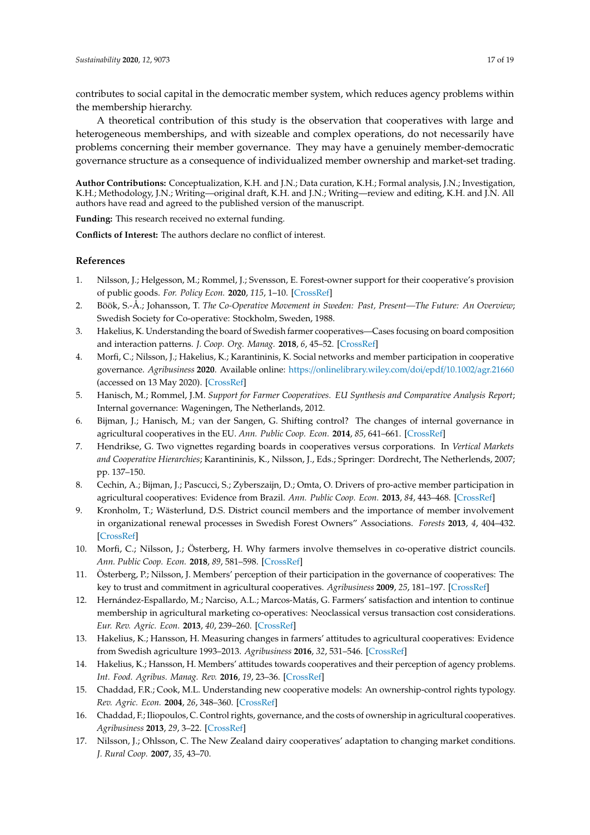contributes to social capital in the democratic member system, which reduces agency problems within the membership hierarchy.

A theoretical contribution of this study is the observation that cooperatives with large and heterogeneous memberships, and with sizeable and complex operations, do not necessarily have problems concerning their member governance. They may have a genuinely member-democratic governance structure as a consequence of individualized member ownership and market-set trading.

**Author Contributions:** Conceptualization, K.H. and J.N.; Data curation, K.H.; Formal analysis, J.N.; Investigation, K.H.; Methodology, J.N.; Writing—original draft, K.H. and J.N.; Writing—review and editing, K.H. and J.N. All authors have read and agreed to the published version of the manuscript.

**Funding:** This research received no external funding.

**Conflicts of Interest:** The authors declare no conflict of interest.

## **References**

- <span id="page-16-0"></span>1. Nilsson, J.; Helgesson, M.; Rommel, J.; Svensson, E. Forest-owner support for their cooperative's provision of public goods. *For. Policy Econ.* **2020**, *115*, 1–10. [\[CrossRef\]](http://dx.doi.org/10.1016/j.forpol.2020.102156)
- <span id="page-16-1"></span>2. Böök, S.-Å.; Johansson, T. *The Co-Operative Movement in Sweden: Past, Present—The Future: An Overview*; Swedish Society for Co-operative: Stockholm, Sweden, 1988.
- <span id="page-16-15"></span>3. Hakelius, K. Understanding the board of Swedish farmer cooperatives—Cases focusing on board composition and interaction patterns. *J. Coop. Org. Manag.* **2018**, *6*, 45–52. [\[CrossRef\]](http://dx.doi.org/10.1016/j.jcom.2018.06.001)
- <span id="page-16-2"></span>4. Morfi, C.; Nilsson, J.; Hakelius, K.; Karantininis, K. Social networks and member participation in cooperative governance. *Agribusiness* **2020**. Available online: https://[onlinelibrary.wiley.com](https://onlinelibrary.wiley.com/doi/epdf/10.1002/agr.21660)/doi/epdf/10.1002/agr.21660 (accessed on 13 May 2020). [\[CrossRef\]](http://dx.doi.org/10.1002/agr.21660)
- <span id="page-16-3"></span>5. Hanisch, M.; Rommel, J.M. *Support for Farmer Cooperatives. EU Synthesis and Comparative Analysis Report*; Internal governance: Wageningen, The Netherlands, 2012.
- <span id="page-16-4"></span>6. Bijman, J.; Hanisch, M.; van der Sangen, G. Shifting control? The changes of internal governance in agricultural cooperatives in the EU. *Ann. Public Coop. Econ.* **2014**, *85*, 641–661. [\[CrossRef\]](http://dx.doi.org/10.1111/apce.12055)
- <span id="page-16-5"></span>7. Hendrikse, G. Two vignettes regarding boards in cooperatives versus corporations. In *Vertical Markets and Cooperative Hierarchies*; Karantininis, K., Nilsson, J., Eds.; Springer: Dordrecht, The Netherlends, 2007; pp. 137–150.
- <span id="page-16-6"></span>8. Cechin, A.; Bijman, J.; Pascucci, S.; Zyberszaijn, D.; Omta, O. Drivers of pro-active member participation in agricultural cooperatives: Evidence from Brazil. *Ann. Public Coop. Econ.* **2013**, *84*, 443–468. [\[CrossRef\]](http://dx.doi.org/10.1111/apce.12023)
- <span id="page-16-7"></span>9. Kronholm, T.; Wästerlund, D.S. District council members and the importance of member involvement in organizational renewal processes in Swedish Forest Owners" Associations. *Forests* **2013**, *4*, 404–432. [\[CrossRef\]](http://dx.doi.org/10.3390/f4020404)
- <span id="page-16-8"></span>10. Morfi, C.; Nilsson, J.; Österberg, H. Why farmers involve themselves in co-operative district councils. *Ann. Public Coop. Econ.* **2018**, *89*, 581–598. [\[CrossRef\]](http://dx.doi.org/10.1111/apce.12206)
- <span id="page-16-9"></span>11. Österberg, P.; Nilsson, J. Members' perception of their participation in the governance of cooperatives: The key to trust and commitment in agricultural cooperatives. *Agribusiness* **2009**, *25*, 181–197. [\[CrossRef\]](http://dx.doi.org/10.1002/agr.20200)
- <span id="page-16-10"></span>12. Hernández-Espallardo, M.; Narciso, A.L.; Marcos-Matás, G. Farmers' satisfaction and intention to continue membership in agricultural marketing co-operatives: Neoclassical versus transaction cost considerations. *Eur. Rev. Agric. Econ.* **2013**, *40*, 239–260. [\[CrossRef\]](http://dx.doi.org/10.1093/erae/jbs024)
- 13. Hakelius, K.; Hansson, H. Measuring changes in farmers' attitudes to agricultural cooperatives: Evidence from Swedish agriculture 1993–2013. *Agribusiness* **2016**, *32*, 531–546. [\[CrossRef\]](http://dx.doi.org/10.1002/agr.21464)
- <span id="page-16-11"></span>14. Hakelius, K.; Hansson, H. Members' attitudes towards cooperatives and their perception of agency problems. *Int. Food. Agribus. Manag. Rev.* **2016**, *19*, 23–36. [\[CrossRef\]](http://dx.doi.org/10.22434/IFAMR2015.0219)
- <span id="page-16-12"></span>15. Chaddad, F.R.; Cook, M.L. Understanding new cooperative models: An ownership-control rights typology. *Rev. Agric. Econ.* **2004**, *26*, 348–360. [\[CrossRef\]](http://dx.doi.org/10.1111/j.1467-9353.2004.00184.x)
- <span id="page-16-13"></span>16. Chaddad, F.; Iliopoulos, C. Control rights, governance, and the costs of ownership in agricultural cooperatives. *Agribusiness* **2013**, *29*, 3–22. [\[CrossRef\]](http://dx.doi.org/10.1002/agr.21328)
- <span id="page-16-14"></span>17. Nilsson, J.; Ohlsson, C. The New Zealand dairy cooperatives' adaptation to changing market conditions. *J. Rural Coop.* **2007**, *35*, 43–70.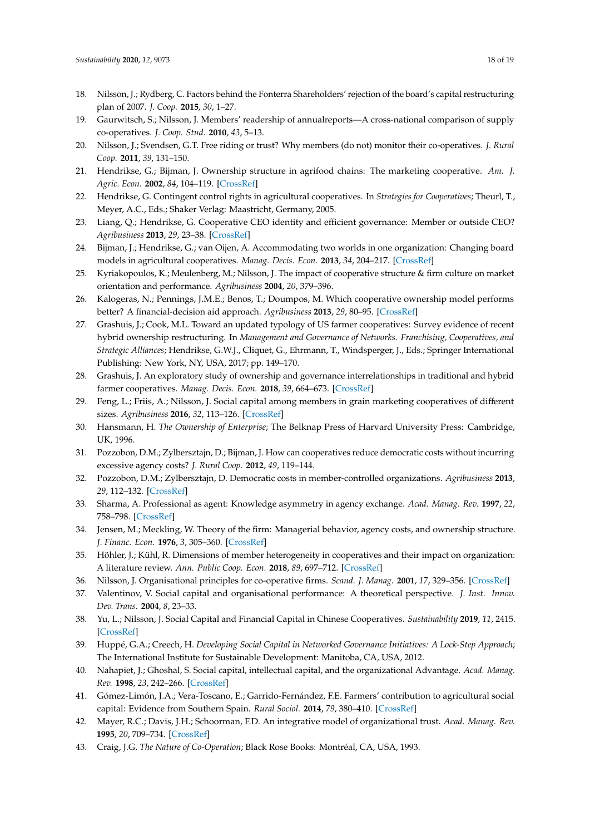- <span id="page-17-0"></span>18. Nilsson, J.; Rydberg, C. Factors behind the Fonterra Shareholders' rejection of the board's capital restructuring plan of 2007. *J. Coop.* **2015**, *30*, 1–27.
- <span id="page-17-1"></span>19. Gaurwitsch, S.; Nilsson, J. Members' readership of annualreports—A cross-national comparison of supply co-operatives. *J. Coop. Stud.* **2010**, *43*, 5–13.
- <span id="page-17-2"></span>20. Nilsson, J.; Svendsen, G.T. Free riding or trust? Why members (do not) monitor their co-operatives. *J. Rural Coop.* **2011**, *39*, 131–150.
- <span id="page-17-3"></span>21. Hendrikse, G.; Bijman, J. Ownership structure in agrifood chains: The marketing cooperative. *Am. J. Agric. Econ.* **2002**, *84*, 104–119. [\[CrossRef\]](http://dx.doi.org/10.1111/1467-8276.00246)
- 22. Hendrikse, G. Contingent control rights in agricultural cooperatives. In *Strategies for Cooperatives*; Theurl, T., Meyer, A.C., Eds.; Shaker Verlag: Maastricht, Germany, 2005.
- 23. Liang, Q.; Hendrikse, G. Cooperative CEO identity and efficient governance: Member or outside CEO? *Agribusiness* **2013**, *29*, 23–38. [\[CrossRef\]](http://dx.doi.org/10.1002/agr.21326)
- <span id="page-17-4"></span>24. Bijman, J.; Hendrikse, G.; van Oijen, A. Accommodating two worlds in one organization: Changing board models in agricultural cooperatives. *Manag. Decis. Econ.* **2013**, *34*, 204–217. [\[CrossRef\]](http://dx.doi.org/10.1002/mde.2584)
- <span id="page-17-5"></span>25. Kyriakopoulos, K.; Meulenberg, M.; Nilsson, J. The impact of cooperative structure & firm culture on market orientation and performance. *Agribusiness* **2004**, *20*, 379–396.
- <span id="page-17-6"></span>26. Kalogeras, N.; Pennings, J.M.E.; Benos, T.; Doumpos, M. Which cooperative ownership model performs better? A financial-decision aid approach. *Agribusiness* **2013**, *29*, 80–95. [\[CrossRef\]](http://dx.doi.org/10.1002/agr.21323)
- <span id="page-17-7"></span>27. Grashuis, J.; Cook, M.L. Toward an updated typology of US farmer cooperatives: Survey evidence of recent hybrid ownership restructuring. In *Management and Governance of Networks. Franchising, Cooperatives, and Strategic Alliances*; Hendrikse, G.W.J., Cliquet, G., Ehrmann, T., Windsperger, J., Eds.; Springer International Publishing: New York, NY, USA, 2017; pp. 149–170.
- <span id="page-17-8"></span>28. Grashuis, J. An exploratory study of ownership and governance interrelationships in traditional and hybrid farmer cooperatives. *Manag. Decis. Econ.* **2018**, *39*, 664–673. [\[CrossRef\]](http://dx.doi.org/10.1002/mde.2936)
- <span id="page-17-9"></span>29. Feng, L.; Friis, A.; Nilsson, J. Social capital among members in grain marketing cooperatives of different sizes. *Agribusiness* **2016**, *32*, 113–126. [\[CrossRef\]](http://dx.doi.org/10.1002/agr.21427)
- <span id="page-17-10"></span>30. Hansmann, H. *The Ownership of Enterprise*; The Belknap Press of Harvard University Press: Cambridge, UK, 1996.
- <span id="page-17-11"></span>31. Pozzobon, D.M.; Zylbersztajn, D.; Bijman, J. How can cooperatives reduce democratic costs without incurring excessive agency costs? *J. Rural Coop.* **2012**, *49*, 119–144.
- <span id="page-17-12"></span>32. Pozzobon, D.M.; Zylbersztajn, D. Democratic costs in member-controlled organizations. *Agribusiness* **2013**, *29*, 112–132. [\[CrossRef\]](http://dx.doi.org/10.1002/agr.21324)
- <span id="page-17-13"></span>33. Sharma, A. Professional as agent: Knowledge asymmetry in agency exchange. *Acad. Manag. Rev.* **1997**, *22*, 758–798. [\[CrossRef\]](http://dx.doi.org/10.5465/amr.1997.9708210725)
- <span id="page-17-14"></span>34. Jensen, M.; Meckling, W. Theory of the firm: Managerial behavior, agency costs, and ownership structure. *J. Financ. Econ.* **1976**, *3*, 305–360. [\[CrossRef\]](http://dx.doi.org/10.1016/0304-405X(76)90026-X)
- <span id="page-17-15"></span>35. Höhler, J.; Kühl, R. Dimensions of member heterogeneity in cooperatives and their impact on organization: A literature review. *Ann. Public Coop. Econ.* **2018**, *89*, 697–712. [\[CrossRef\]](http://dx.doi.org/10.1111/apce.12177)
- <span id="page-17-16"></span>36. Nilsson, J. Organisational principles for co-operative firms. *Scand. J. Manag.* **2001**, *17*, 329–356. [\[CrossRef\]](http://dx.doi.org/10.1016/S0956-5221(01)00010-0)
- <span id="page-17-17"></span>37. Valentinov, V. Social capital and organisational performance: A theoretical perspective. *J. Inst. Innov. Dev. Trans.* **2004**, *8*, 23–33.
- <span id="page-17-18"></span>38. Yu, L.; Nilsson, J. Social Capital and Financial Capital in Chinese Cooperatives. *Sustainability* **2019**, *11*, 2415. [\[CrossRef\]](http://dx.doi.org/10.3390/su11082415)
- <span id="page-17-19"></span>39. Huppé, G.A.; Creech, H. *Developing Social Capital in Networked Governance Initiatives: A Lock-Step Approach*; The International Institute for Sustainable Development: Manitoba, CA, USA, 2012.
- <span id="page-17-20"></span>40. Nahapiet, J.; Ghoshal, S. Social capital, intellectual capital, and the organizational Advantage. *Acad. Manag. Rev.* **1998**, *23*, 242–266. [\[CrossRef\]](http://dx.doi.org/10.5465/amr.1998.533225)
- <span id="page-17-21"></span>41. Gómez-Limón, J.A.; Vera-Toscano, E.; Garrido-Fernández, F.E. Farmers' contribution to agricultural social capital: Evidence from Southern Spain. *Rural Sociol.* **2014**, *79*, 380–410. [\[CrossRef\]](http://dx.doi.org/10.1111/ruso.12034)
- <span id="page-17-22"></span>42. Mayer, R.C.; Davis, J.H.; Schoorman, F.D. An integrative model of organizational trust. *Acad. Manag. Rev.* **1995**, *20*, 709–734. [\[CrossRef\]](http://dx.doi.org/10.5465/amr.1995.9508080335)
- <span id="page-17-23"></span>43. Craig, J.G. *The Nature of Co-Operation*; Black Rose Books: Montréal, CA, USA, 1993.